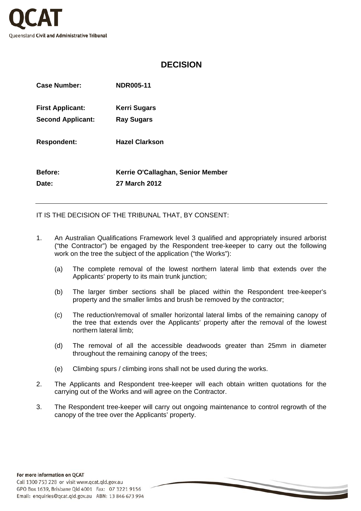

## **DECISION**

| <b>Case Number:</b>      | <b>NDR005-11</b>                  |
|--------------------------|-----------------------------------|
| <b>First Applicant:</b>  | Kerri Sugars                      |
| <b>Second Applicant:</b> | <b>Ray Sugars</b>                 |
| <b>Respondent:</b>       | <b>Hazel Clarkson</b>             |
| <b>Before:</b>           | Kerrie O'Callaghan, Senior Member |
| Date:                    | 27 March 2012                     |

IT IS THE DECISION OF THE TRIBUNAL THAT, BY CONSENT:

- 1. An Australian Qualifications Framework level 3 qualified and appropriately insured arborist ("the Contractor") be engaged by the Respondent tree-keeper to carry out the following work on the tree the subject of the application ("the Works"):
	- (a) The complete removal of the lowest northern lateral limb that extends over the Applicants' property to its main trunk junction;
	- (b) The larger timber sections shall be placed within the Respondent tree-keeper's property and the smaller limbs and brush be removed by the contractor;
	- (c) The reduction/removal of smaller horizontal lateral limbs of the remaining canopy of the tree that extends over the Applicants' property after the removal of the lowest northern lateral limb;
	- (d) The removal of all the accessible deadwoods greater than 25mm in diameter throughout the remaining canopy of the trees;
	- (e) Climbing spurs / climbing irons shall not be used during the works.
- 2. The Applicants and Respondent tree-keeper will each obtain written quotations for the carrying out of the Works and will agree on the Contractor.
- 3. The Respondent tree-keeper will carry out ongoing maintenance to control regrowth of the canopy of the tree over the Applicants' property.